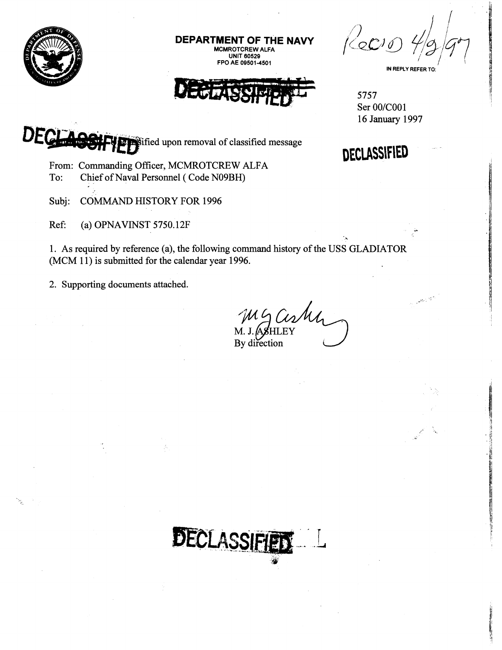

**DEPARTMENT OF THE NAV ROTCREW UNIT 60520** 

**FPO AE 00501-4501** 

 $ReO$ **IN REPLY REFER TO** 

ال<br>الأسبابي

5757 Ser 00/C001<br>16 January 1997



.\*

**in**Sified upon removal of classified message

From: Commanding Officer, MCMROTCREW ALFA<br>To: Chief of Naval Personnel (Code N09BH) Chief of Naval Personnel ( Code N09BH)

Subj: COMMAND HISTORY FOR 1996

Ref: (a) OPNAVINST 5750.12F

1. As required by reference (a), the following command history of the USS GLADIATOR  $(MCM 11)$  is submitted for the calendar year 1996.

2. Supporting documents attached.

ugashi By direction

DECLASSIFIE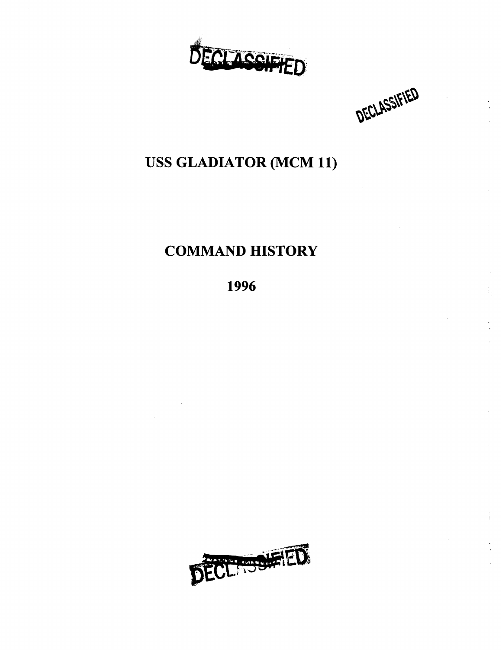

DECLASSIFIED

### **USS GLADIATOR (MCM 11)**

### **COMMAND HISTORY**

**1996** 

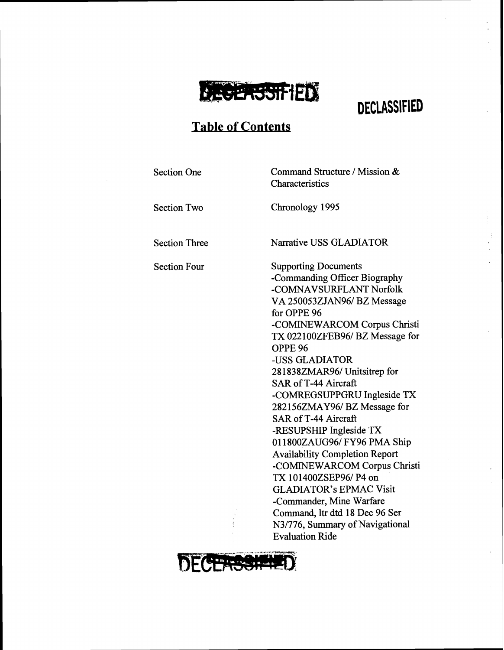

**Characteristics** 

### **Table of Contents**

Section One Command Structure / Mission &

Section Two Chronology 1995

Section Three Narrative USS GLADIATOR

Section Four Supporting Documents -Commanding Officer Biography -COMNAVSURFLANT Norfolk VA 250053ZJAN96/BZ Message for OPPE 96 -COMINEWARCOM Corpus Christi TX 022100ZFEB96/BZ Message for OPPE 96 -USS GLADIATOR 281 838ZMAR96/ Unitsitrep for SAR of T-44 Aircraft -COMREGSUPPGRU Ingleside TX 282156ZMAY96/ BZ Message for SAR of T-44 Aircraft -RESUPSHIP Ingleside TX 011800ZAUG96/ FY96 PMA Ship Availability Completion Report -COMINEWARCOM Corpus Christi TX 101400ZSEP96/ P4 on GLADIATOR'S EPMAC Visit -Commander, Mine Warfare Command, **ltr** dtd 18 Dec 96 Ser N3/776, Summary of Navigational Evaluation Ride

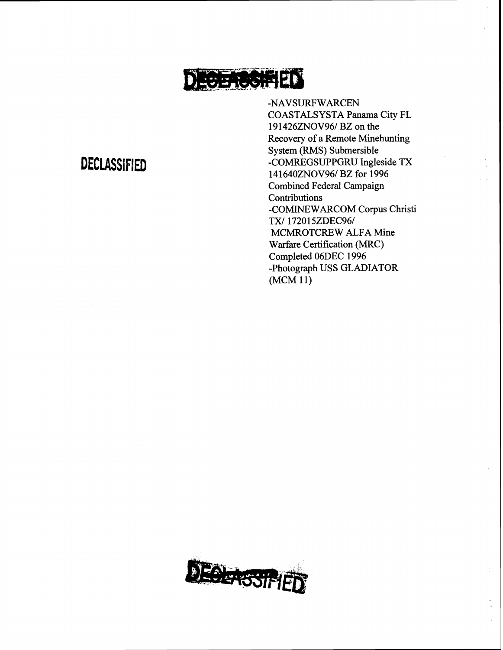

-NAVSURF WARCEN COASTALSYSTA Panama City FL 19 1426ZNOV961 **BZ** on the Recovery of a Remote Minehunting System (RMS) Submersible -COMREGSUPPGRU Ingleside TX 141640ZNOV96/BZ for 1996 Combined Federal Campaign Contributions -COMINEWARCOM Corpus Christi TX/172015ZDEC96/ MCMROTCREW ALFA Mine Warfare Certification (MRC) Completed O6DEC 1996 -Photograph USS GLADIATOR (MCM 11)

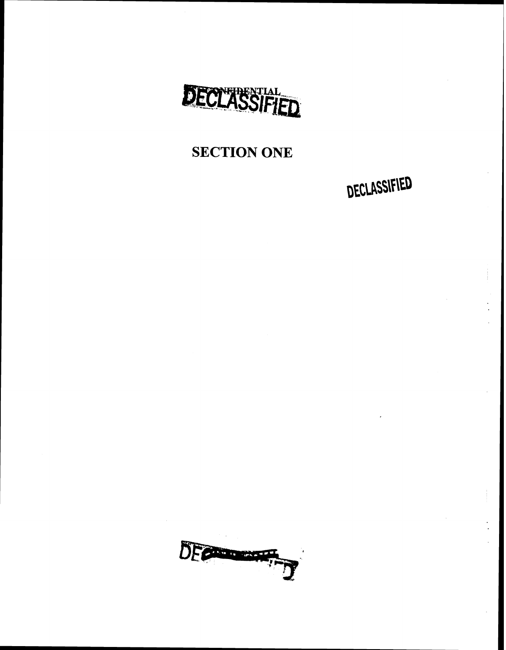

### **SECTION ONE**

DECLASSIFIED

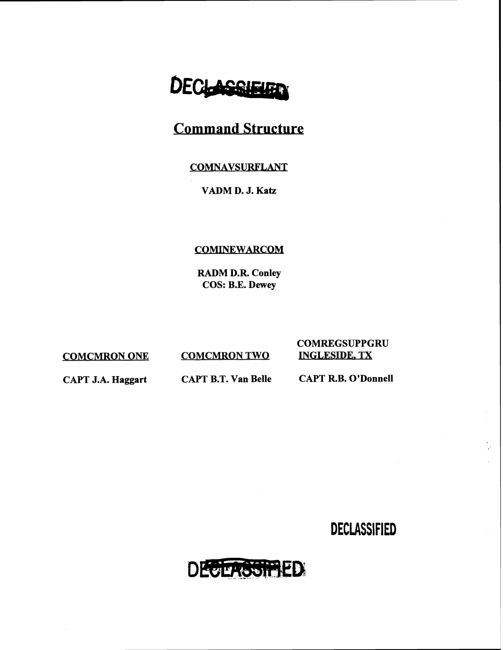# DECLASSIE

### **Command Structure**

#### COMNAVSURFLANT

#### **VADM D. J. Katz**

#### **COMINEWARCOM**

**RADM D.R. Conley COS: B.E. Dewey** 

**COMCMRON ONE COMCMRON TWO** 

## **COMREGSUPPGRU**

**CAPT J.A. Haggart CAPT B.T. Van Belle CAPT R.B. O'Donnell** 

**DECLASSIFIED** 

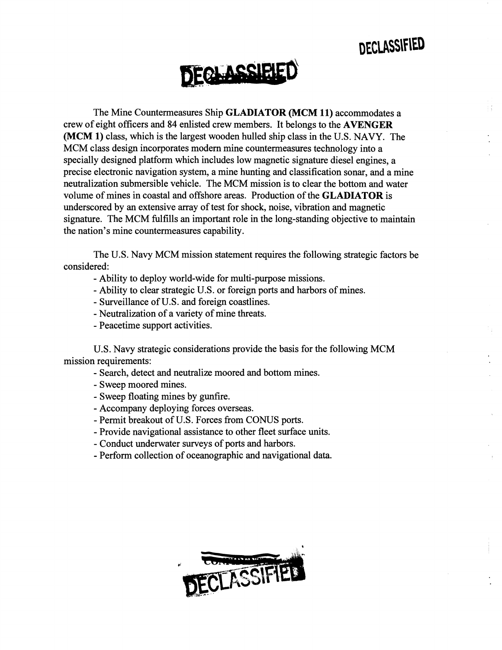DECLASSIFIED



The Mine Countermeasures Ship **GLADIATOR** (MCM **11)** accommodates a crew of eight officers and 84 enlisted crew members. It belongs to the **AVENGER**  (MCM **1)** class, which is the largest wooden hulled ship class in the U.S. NAVY. The MCM class design incorporates modern mine countermeasures technology into a specially designed platform which includes low magnetic signature diesel engines, a precise electronic navigation system, a mine hunting and classification sonar, and a mine neutralization submersible vehicle. The MCM mission is to clear the bottom and water volume of mines in coastal and offshore areas. Production of the **GLADIATOR** is underscored by an extensive array of test for shock, noise, vibration and magnetic signature. The MCM fulfills an important role in the long-standing objective to maintain the nation's mine countermeasures capability.

The U.S. Navy MCM mission statement requires the following strategic factors be considered:

- Ability to deploy world-wide for multi-purpose missions.
- Ability to clear strategic U.S. or foreign ports and harbors of mines.
- Surveillance of U.S. and foreign coastlines.
- Neutralization of a variety of mine threats.
- Peacetime support activities.

U.S. Navy strategic considerations provide the basis for the following MCM mission requirements:

- Search, detect and neutralize moored and bottom mines.
- Sweep moored mines.
- Sweep floating mines by gunfire.
- Accompany deploying forces overseas.
- Permit breakout of U.S. Forces from CONUS ports.
- Provide navigational assistance to other fleet surface units.
- Conduct underwater surveys of ports and harbors.
- Perform collection of oceanographic and navigational data.

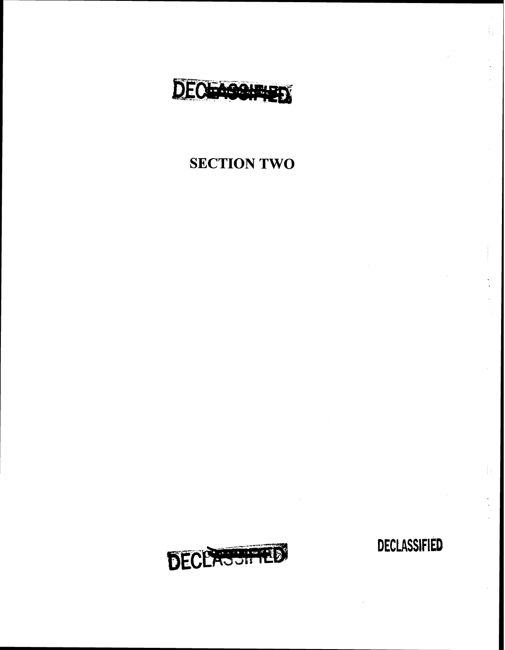

### **SECTION TWO**



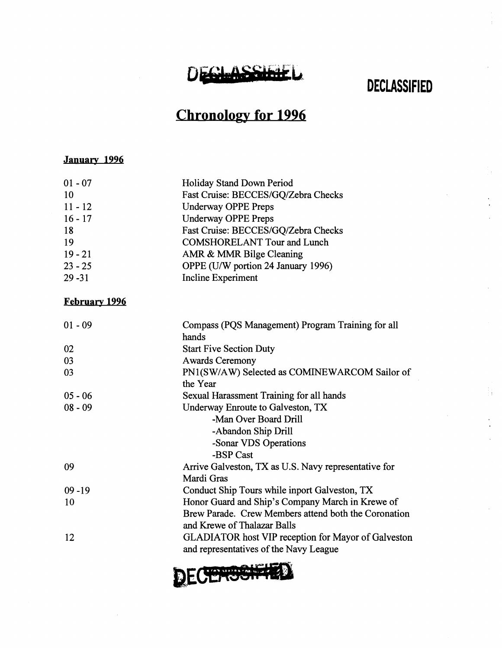## DEGLASSIE

**DECLASSIFIED** 

### **Chronology for 1996**

#### **January 1994**

| $01 - 07$ | Holiday Stand Down Period           |
|-----------|-------------------------------------|
| 10        | Fast Cruise: BECCES/GQ/Zebra Checks |
| $11 - 12$ | <b>Underway OPPE Preps</b>          |
| $16 - 17$ | <b>Underway OPPE Preps</b>          |
| 18        | Fast Cruise: BECCES/GQ/Zebra Checks |
| 19        | <b>COMSHORELANT Tour and Lunch</b>  |
| $19 - 21$ | AMR & MMR Bilge Cleaning            |
| $23 - 25$ | OPPE (U/W portion 24 January 1996)  |
| $29 - 31$ | Incline Experiment                  |
|           |                                     |

#### **February 1996**

| $01 - 09$ | Compass (PQS Management) Program Training for all<br>hands                                           |
|-----------|------------------------------------------------------------------------------------------------------|
| 02        | <b>Start Five Section Duty</b>                                                                       |
| 03        | <b>Awards Ceremony</b>                                                                               |
| 03        | PN1(SW/AW) Selected as COMINEWARCOM Sailor of                                                        |
|           | the Year                                                                                             |
| $05 - 06$ | Sexual Harassment Training for all hands                                                             |
| $08 - 09$ | Underway Enroute to Galveston, TX                                                                    |
|           | -Man Over Board Drill                                                                                |
|           | -Abandon Ship Drill                                                                                  |
|           | -Sonar VDS Operations                                                                                |
|           | -BSP Cast                                                                                            |
| 09        | Arrive Galveston, TX as U.S. Navy representative for                                                 |
|           | Mardi Gras                                                                                           |
| $09 - 19$ | Conduct Ship Tours while inport Galveston, TX                                                        |
| 10        | Honor Guard and Ship's Company March in Krewe of                                                     |
|           | Brew Parade. Crew Members attend both the Coronation                                                 |
|           | and Krewe of Thalazar Balls                                                                          |
| 12        | <b>GLADIATOR</b> host VIP reception for Mayor of Galveston<br>and representatives of the Navy League |

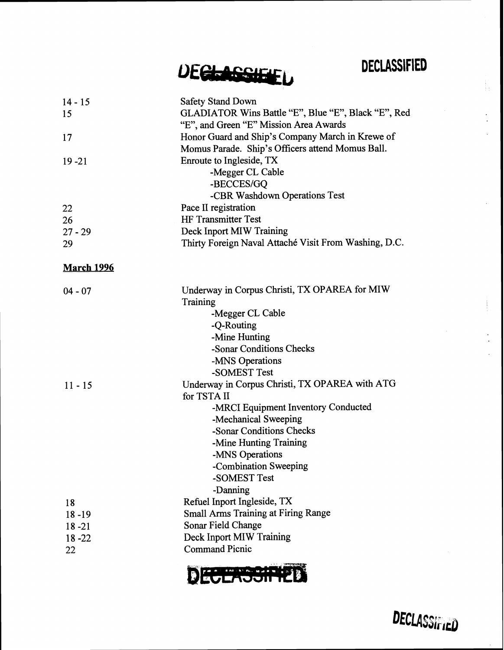DECLASSIFIED

 $\frac{1}{2}$ 

DECLASSIEL

| $14 - 15$<br>15<br>17<br>$19 - 21$              | <b>Safety Stand Down</b><br>GLADIATOR Wins Battle "E", Blue "E", Black "E", Red<br>"E", and Green "E" Mission Area Awards<br>Honor Guard and Ship's Company March in Krewe of<br>Momus Parade. Ship's Officers attend Momus Ball.<br>Enroute to Ingleside, TX<br>-Megger CL Cable<br>-BECCES/GQ<br>-CBR Washdown Operations Test |
|-------------------------------------------------|----------------------------------------------------------------------------------------------------------------------------------------------------------------------------------------------------------------------------------------------------------------------------------------------------------------------------------|
| 22                                              | Pace II registration                                                                                                                                                                                                                                                                                                             |
| 26                                              | <b>HF Transmitter Test</b>                                                                                                                                                                                                                                                                                                       |
| $27 - 29$                                       | Deck Inport MIW Training                                                                                                                                                                                                                                                                                                         |
| 29                                              | Thirty Foreign Naval Attaché Visit From Washing, D.C.                                                                                                                                                                                                                                                                            |
| <b>March 1996</b>                               |                                                                                                                                                                                                                                                                                                                                  |
| $04 - 07$                                       | Underway in Corpus Christi, TX OPAREA for MIW<br>Training<br>-Megger CL Cable<br>-Q-Routing<br>-Mine Hunting<br>-Sonar Conditions Checks<br>-MNS Operations<br>-SOMEST Test                                                                                                                                                      |
| $11 - 15$                                       | Underway in Corpus Christi, TX OPAREA with ATG<br>for TSTA II<br>-MRCI Equipment Inventory Conducted<br>-Mechanical Sweeping<br>-Sonar Conditions Checks<br>-Mine Hunting Training<br>-MNS Operations<br>-Combination Sweeping<br>-SOMEST Test<br>-Danning                                                                       |
| 18<br>$18 - 19$<br>$18 - 21$<br>$18 - 22$<br>22 | Refuel Inport Ingleside, TX<br><b>Small Arms Training at Firing Range</b><br>Sonar Field Change<br>Deck Inport MIW Training<br><b>Command Picnic</b>                                                                                                                                                                             |



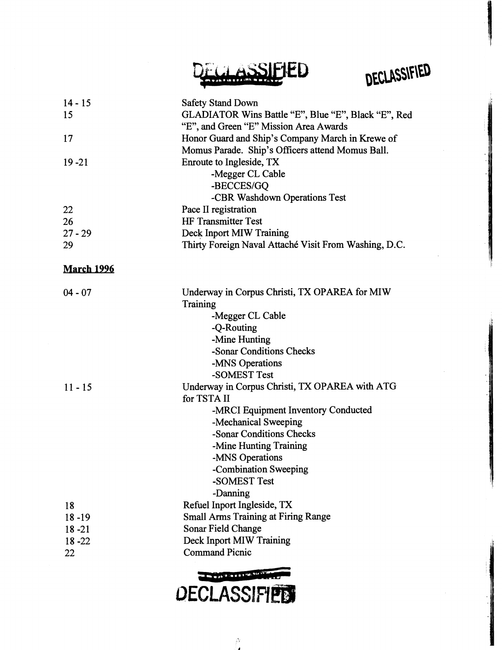CLASSIEIED





 $\Delta$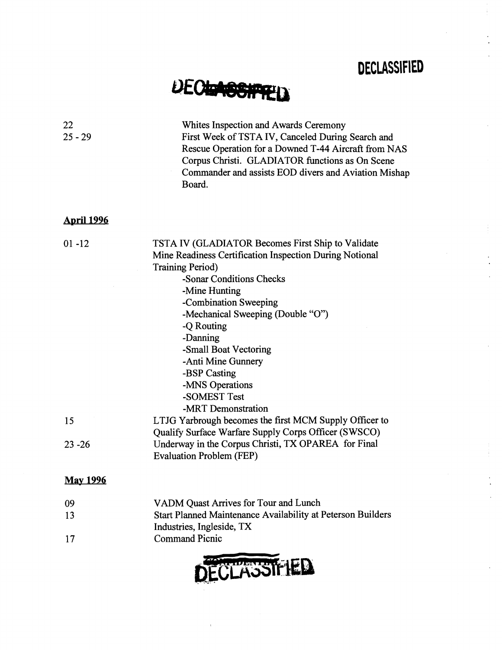# **DECIGABENTRED**

| 22<br>$25 - 29$   | Whites Inspection and Awards Ceremony<br>First Week of TSTA IV, Canceled During Search and<br>Rescue Operation for a Downed T-44 Aircraft from NAS<br>Corpus Christi. GLADIATOR functions as On Scene<br>Commander and assists EOD divers and Aviation Mishap<br>Board.                                                                                                                              |
|-------------------|------------------------------------------------------------------------------------------------------------------------------------------------------------------------------------------------------------------------------------------------------------------------------------------------------------------------------------------------------------------------------------------------------|
| <u>April 1996</u> |                                                                                                                                                                                                                                                                                                                                                                                                      |
| $01 - 12$         | TSTA IV (GLADIATOR Becomes First Ship to Validate<br>Mine Readiness Certification Inspection During Notional<br><b>Training Period)</b><br>-Sonar Conditions Checks<br>-Mine Hunting<br>-Combination Sweeping<br>-Mechanical Sweeping (Double "O")<br>-Q Routing<br>-Danning<br>-Small Boat Vectoring<br>-Anti Mine Gunnery<br>-BSP Casting<br>-MNS Operations<br>-SOMEST Test<br>-MRT Demonstration |
| 15                | LTJG Yarbrough becomes the first MCM Supply Officer to<br>Qualify Surface Warfare Supply Corps Officer (SWSCO)                                                                                                                                                                                                                                                                                       |
| $23 - 26$         | Underway in the Corpus Christi, TX OPAREA for Final<br><b>Evaluation Problem (FEP)</b>                                                                                                                                                                                                                                                                                                               |
| <b>May 1996</b>   |                                                                                                                                                                                                                                                                                                                                                                                                      |
| 09                | VADM Quast Arrives for Tour and Lunch                                                                                                                                                                                                                                                                                                                                                                |
| 13                | Start Planned Maintenance Availability at Peterson Builders<br>Industries, Ingleside, TX                                                                                                                                                                                                                                                                                                             |
| 17                | <b>Command Picnic</b>                                                                                                                                                                                                                                                                                                                                                                                |

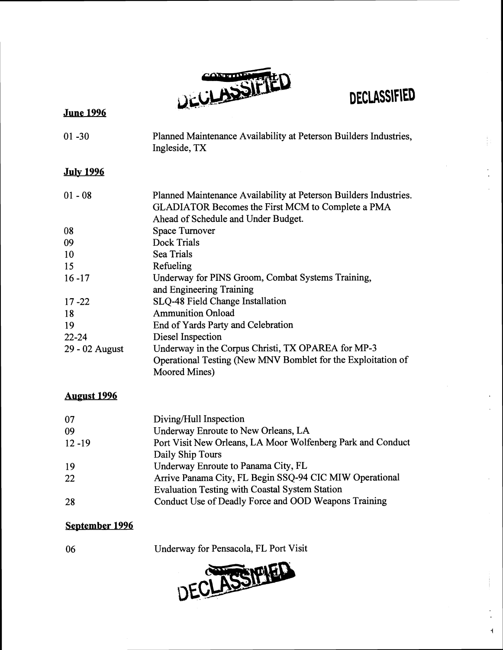

 $\overline{1}$ 

### **June 1994**

| $01 - 30$        | Planned Maintenance Availability at Peterson Builders Industries,<br>Ingleside, TX                                                                                   |
|------------------|----------------------------------------------------------------------------------------------------------------------------------------------------------------------|
| <b>July 1996</b> |                                                                                                                                                                      |
| $01 - 08$        | Planned Maintenance Availability at Peterson Builders Industries.<br><b>GLADIATOR Becomes the First MCM to Complete a PMA</b><br>Ahead of Schedule and Under Budget. |
| 08               | <b>Space Turnover</b>                                                                                                                                                |
| 09               | <b>Dock Trials</b>                                                                                                                                                   |
| 10               | <b>Sea Trials</b>                                                                                                                                                    |
| 15               | Refueling                                                                                                                                                            |
| $16 - 17$        | Underway for PINS Groom, Combat Systems Training,<br>and Engineering Training                                                                                        |
| $17 - 22$        | <b>SLQ-48 Field Change Installation</b>                                                                                                                              |
| 18               | <b>Ammunition Onload</b>                                                                                                                                             |
| 19               | End of Yards Party and Celebration                                                                                                                                   |
| $22 - 24$        | Diesel Inspection                                                                                                                                                    |
| 29 - 02 August   | Underway in the Corpus Christi, TX OPAREA for MP-3<br>Operational Testing (New MNV Bomblet for the Exploitation of<br>Moored Mines)                                  |

#### **August 1996**

| 07        | Diving/Hull Inspection                                      |
|-----------|-------------------------------------------------------------|
| 09        | Underway Enroute to New Orleans, LA                         |
| $12 - 19$ | Port Visit New Orleans, LA Moor Wolfenberg Park and Conduct |
|           | Daily Ship Tours                                            |
| 19        | Underway Enroute to Panama City, FL                         |
| 22        | Arrive Panama City, FL Begin SSQ-94 CIC MIW Operational     |
|           | <b>Evaluation Testing with Coastal System Station</b>       |
| 28        | Conduct Use of Deadly Force and OOD Weapons Training        |

### **September 1996**

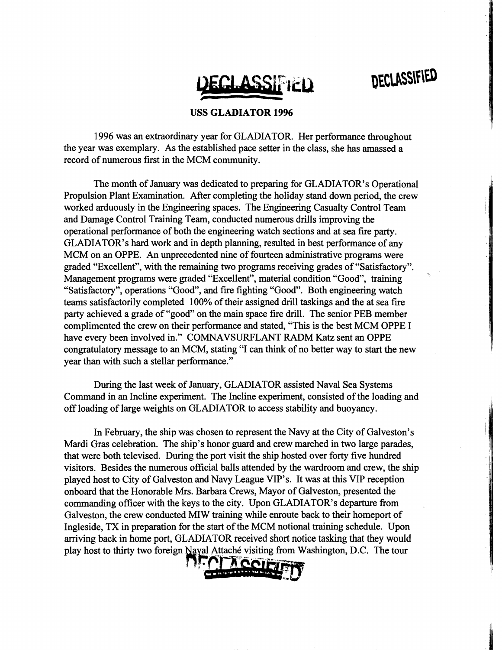

#### **USS GLADIATOR 1996**

1996 was an extraordinary year for GLADIATOR. Her performance throughout the year was exemplary. As the established pace setter in the class, she has amassed a record of numerous first in the MCM community.

The month of January was dedicated to preparing for GLADIATOR'S Operational Propulsion Plant Examination. After completing the holiday stand down period, the crew worked arduously in the Engineering spaces. The Engineering Casualty Control Team and Damage Control Training Team, conducted numerous drills improving the operational performance of both the engineering watch sections and at sea fire party. GLADIATOR'S hard work and in depth planning, resulted in best performance of any MCM on an OPPE. An unprecedented nine of fourteen administrative programs were graded "Excellent", with the remaining two programs receiving grades of "Satisfactory". Management programs were graded "Excellent", material condition "Good", training "Satisfactory", operations "Good", and fire fighting "Good". Both engineering watch teams satisfactorily completed 100% of their assigned drill taskings and the at sea fire party achieved a grade of "good" on the main space fire drill. The senior PEB member complimented the crew on their performance and stated, "This is the best MCM OPPE I have every been involved in." COMNAVSURFLANT RADM Katz sent an OPPE congratulatory message to an MCM, stating "I can think of no better way to start the new year than with such a stellar performance."

During the last week of January, GLADIATOR assisted Naval Sea Systems Command in an Incline experiment. The Incline experiment, consisted of the loading and off loading of large weights on GLADIATOR to access stability and buoyancy.

In February, the ship was chosen to represent the Navy at the City of Galveston's Mardi Gras celebration. The ship's honor guard and crew marched in two large parades, that were both televised. During the port visit the ship hosted over forty five hundred visitors. Besides the numerous official balls attended by the wardroom and crew, the ship played host to City of Galveston and Navy League VIP's. It was at this VIP reception onboard that the Honorable Mrs. Barbara Crews, Mayor of Galveston, presented the commanding officer with the keys to the city. Upon GLADIATOR's departure from Galveston, the crew conducted **MIW** training while enroute back to their homeport of Ingleside, TX in preparation for the start of the MCM notional training schedule. Upon arriving back in home port, GLADIATOR received short notice tasking that they would play host to thirty two foreign Naval Attaché visiting from Washington, D.C. The tour

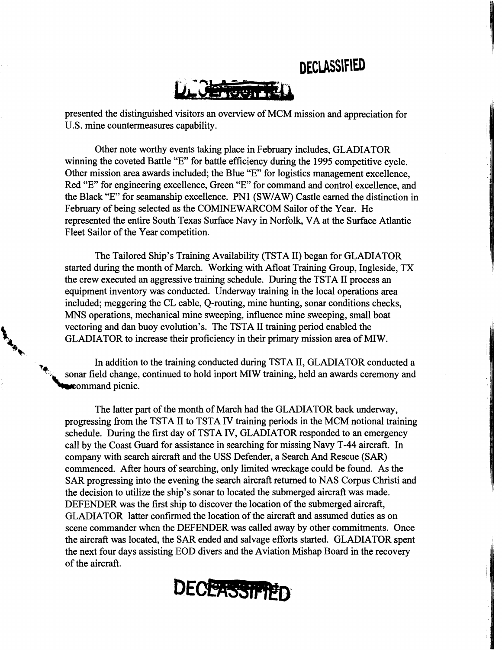

presented the distinguished visitors an overview of MCM mission and appreciation for U.S. mine countermeasures capability.

Other note worthy events taking place in February includes, GLADIATOR winning the coveted Battle "E" for battle efficiency during the 1995 competitive cycle. Other mission area awards included; the Blue "E" for logistics management excellence, Red "E" for engineering excellence, Green "E" for command and control excellence, and the Black "E" for seamanship excellence. PN1 (SWIAW) Castle earned the distinction in February of being selected as the COMINEWARCOM Sailor of the Year. He represented the entire South Texas Surface Navy in Norfolk, VA at the Surface Atlantic Fleet Sailor of the Year competition.

The Tailored Ship's Training Availability (TSTA 11) began for GLADIATOR started during the month of March. Working with Afloat Training Group, Ingleside, TX the crew executed an aggressive training schedule. During the TSTA I1 process an equipment inventory was conducted. Underway training in the local operations area included; meggering the CL cable, Q-routing, mine hunting, sonar conditions checks, MNS operations, mechanical mine sweeping, influence mine sweeping, small boat vectoring and dan buoy evolution's. The TSTA II training period enabled the GLADIATOR to increase their proficiency in their primary mission area of MIW.

> In addition to the training conducted during TSTA 11, GLADIATOR conducted a sonar field change, continued to hold inport MIW training, held an awards ceremony and **Command** picnic.

**6,.** 

The latter part of the month of March had the GLADIATOR back underway, progressing from the TSTA I1 to TSTA IV training periods in the MCM notional training schedule. During the first day of TSTA IV, GLADIATOR responded to an emergency call by the Coast Guard for assistance in searching for missing Navy T-44 aircraft. In company with search aircraft and the USS Defender, a Search And Rescue (SAR) commenced. After hours of searching, only limited wreckage could be found. As the SAR progressing into the evening the search aircraft returned to NAS Corpus Christi and the decision to utilize the ship's sonar to located the submerged aircraft was made. DEFENDER was the first ship to discover the location of the submerged aircraft, GLADIATOR latter confirmed the location of the aircraft and assumed duties as on scene commander when the DEFENDER was called away by other commitments. Once the aircraft was located, the SAR ended and salvage efforts started. GLADIATOR spent the next four days assisting EOD divers and the Aviation Mishap Board in the recovery of the aircraft.

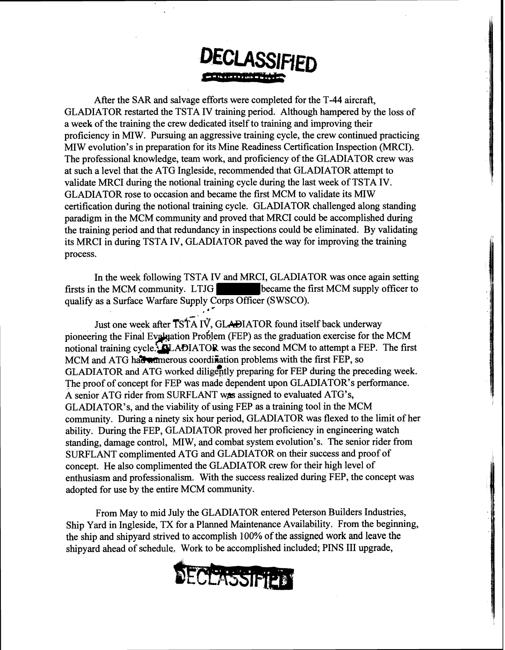After the SAR and salvage efforts were completed for the T-44 aircraft, GLADIATOR restarted the TSTA IV training period. Although hampered by the loss of a week of the training the crew dedicated itself to training and improving their proficiency in MIW. Pursuing an aggressive training cycle, the crew continued practicing MIW evolution's in preparation for its Mine Readiness Certification Inspection (MRCI). The professional knowledge, team work, and proficiency of the GLADIATOR crew was at such a level that the ATG Ingleside, recommended that GLADIATOR attempt to validate MRCI during the notional training cycle during the last week of TSTA IV. GLADIATOR rose to occasion and became the first MCM to validate its MIW certification during the notional training cycle. GLADIATOR challenged along standing paradigm in the MCM community and proved that MRCI could be accomplished during the training period and that redundancy in inspections could be eliminated. By validating its MRCI in during TSTA IV, GLADIATOR paved the way for improving the training process.

In the week following TSTA IV and MRCI, GLADIATOR was once again setting firsts in the MCM community. LTJG became the first MCM supply officer to qualify as a Surface Warfare Supply Corps Officer (SWSCO).

Just one week after  $TSTA IV$ , GLADIATOR found itself back underway pioneering the Final Evaluation Problem (FEP) as the graduation exercise for the MCM notional training cycle.<sup>5</sup> **ALADIATOR** was the second MCM to attempt a FEP. The first MCM and ATG had admortions coordination problems with the first FEP, so GLADIATOR and ATG worked diligently preparing for FEP during the preceding week. The proof of concept for FEP was made dependent upon GLADIATOR'S performance. A senior ATG rider from SURFLANT was assigned to evaluated ATG's, GLADIATOR'S, and the viability of using FEP as a training tool in the MCM community. During a ninety six hour period, GLADIATOR was flexed to the limit of her ability. During the FEP, GLADIATOR proved her proficiency in engineering watch standing, damage control, MIW, and combat system evolution's. The senior rider from SURFLANT complimented ATG and GLADIATOR on their success and proof of concept. He also complimented the GLADIATOR crew for their high level of enthusiasm and professionalism. With the success realized during FEP, the concept was adopted for use by the entire MCM community.

From May to mid July the GLADIATOR entered Peterson Builders Industries, Ship Yard in Ingleside, TX for a Planned Maintenance Availability. From the beginning, the ship and shipyard strived to accomplish 100% of **the assigned work and leave the**  shipyard ahead of schedule, Work to be accomplished included; PINS I11 upgrade,

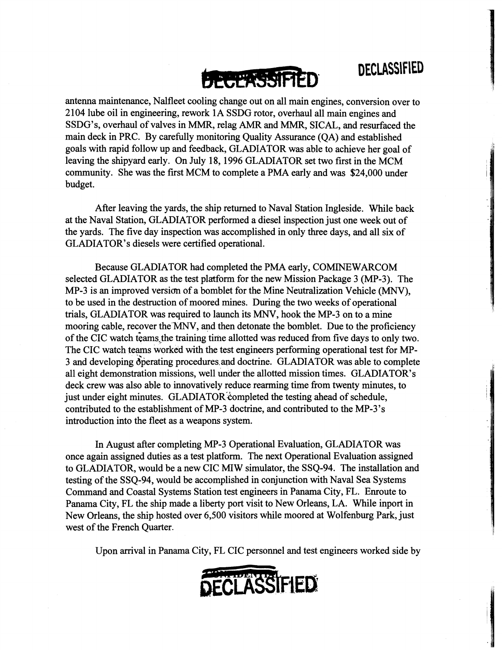

antenna maintenance, Nalfleet cooling change out on all main engines, conversion over to 2 104 lube oil in engineering, rework 1 A SSDG rotor, overhaul all main engines and SSDG's, overhaul of valves in MMR, relag **AMR** and MMR, SICAL, and resurfaced the main deck in PRC. By carefully monitoring Quality Assurance (QA) and established goals with rapid follow up and feedback, GLADIATOR was able to achieve her goal of leaving the shipyard early. On July 18, 1996 GLADIATOR set two first in the MCM community. She was the first MCM to complete a PMA early and was \$24,000 under budget.

After leaving the yards, the ship returned to Naval Station Ingleside. While back at the Naval Station, GLADIATOR performed a diesel inspection just one week out of the yards. The five day inspection was accomplished in only three days, and all six of GLADIATOR'S diesels were certified operational.

Because GLADIATOR had completed the PMA early, COMINEWARCOM selected GLADIATOR as the test platform for the new Mission Package 3 (MP-3). The MP-3 is an improved version of a bomblet for the Mine Neutralization Vehicle (MNV), to be used in the destruction of moored mines. During the two weeks of operational trials, GLADIATOR was required to launch its MNV, hook the MP-3 on to a mine mooring cable, recover the *MNV,* and then detonate the bomblet. Due to the proficiency of the CIC watch teams the training time allotted was reduced from five days to only two. The CIC watch teams worked with the test engineers performing operational test for MP-3 and developing operating procedures and doctrine. GLADIATOR was able to complete all eight demonstration missions, well under the allotted mission times. GLADIATOR'S deck crew was also able to innovatively reduce rearming time from twenty minutes, to just under eight minutes. GLADIATOR completed the testing ahead of schedule, contributed to the establishment of MP-3 doctrine, and contributed to the MP-3's introduction into the fleet as a weapons system.

In August after completing MP-3 Operational Evaluation, GLADIATOR was once again assigned duties as a test platform. The next Operational Evaluation assigned to GLADIATOR, would be a new CIC MIW simulator, the SSQ-94. The installation and testing of the SSQ-94, would be accomplished in conjunction with Naval Sea Systems Command and Coastal Systems Station test engineers in Panama City, FL. Enroute to Panama City, FL the ship made a liberty port visit to New Orleans, LA. While inport in New Orleans, the ship hosted over 6,500 visitors while moored at Wolfenburg Park, just west of the French Quarter.

Upon arrival in Panama City, FL CIC personnel and test engineers worked side by

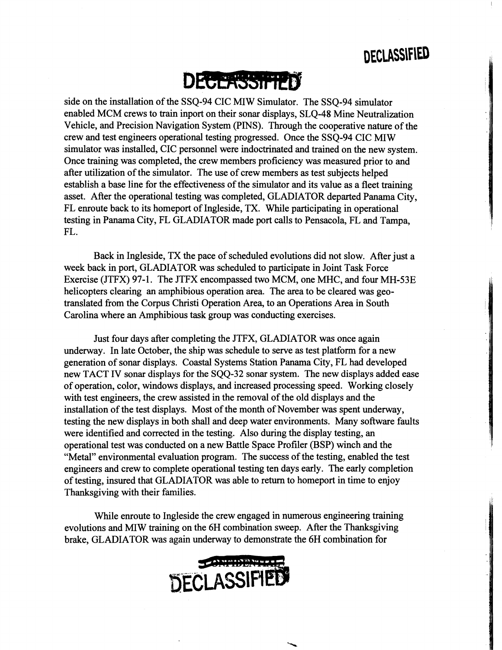DECLASSIFIED



side on the installation of the SSQ-94 CIC MIW Simulator. The SSQ-94 simulator enabled MCM crews to train inport on their sonar displays, SLQ-48 Mine Neutralization Vehicle, and Precision Navigation System (PINS). Through the cooperative nature of the crew and test engineers operational testing progressed. Once the SSQ-94 CIC MIW simulator was installed, CIC personnel were indoctrinated and trained on the new system. Once training was completed, the crew members proficiency was measured prior to and after utilization of the simulator. The use of crew members as test subjects helped establish a base line for the effectiveness of the simulator and its value as a fleet training asset. After the operational testing was completed, GLADIATOR departed Panama City, FL enroute back to its homeport of Ingleside, TX. While participating in operational testing in Panama City, FL GLADIATOR made port calls to Pensacola, FL and Tampa, FL.

Back in Ingleside, TX the pace of scheduled evolutions did not slow. After just a week back in port, GLADIATOR was scheduled to participate in Joint Task Force Exercise (JTFX) 97-1. The JTFX encompassed two MCM, one MHC, and four MH-53E helicopters clearing an amphibious operation area. The area to be cleared was geotranslated from the Corpus Christi Operation Area, to an Operations Area in South Carolina where an Amphibious task group was conducting exercises.

Just four days after completing the JTFX, GLADIATOR was once again underway. In late October, the ship was schedule to serve as test platform for a new generation of sonar displays. Coastal Systems Station Panama City, FL had developed new TACT IV sonar displays for the SQQ-32 sonar system. The new displays added ease of operation, color, windows displays, and increased processing speed. Working closely with test engineers, the crew assisted in the removal of the old displays and the installation of the test displays. Most of the month of November was spent underway, testing the new displays in both shall and deep water environments. Many software faults were identified and corrected in the testing. Also during the display testing, an operational test was conducted on a new Battle Space Profiler (BSP) winch and the "Metal" environmental evaluation program. The success of the testing, enabled the test engineers and crew to complete operational testing ten days early. The early completion of testing, insured that GLADIATOR was able to return to homeport in time to enjoy Thanksgiving with their families.

While enroute to Ingleside the crew engaged in numerous engineering training evolutions and MIW training on the 6H combination sweep. After the Thanksgiving brake, GLADIATOR was again underway to demonstrate the 6H combination for